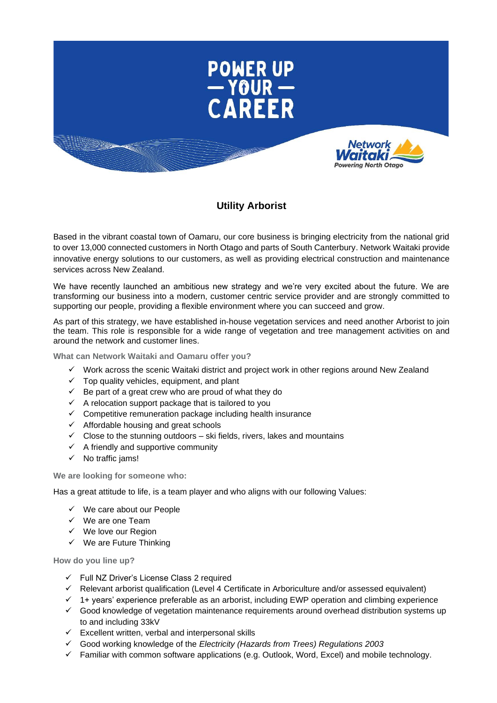

## **Utility Arborist**

Based in the vibrant coastal town of Oamaru, our core business is bringing electricity from the national grid to over 13,000 connected customers in North Otago and parts of South Canterbury. Network Waitaki provide innovative energy solutions to our customers, as well as providing electrical construction and maintenance services across New Zealand.

We have recently launched an ambitious new strategy and we're very excited about the future. We are transforming our business into a modern, customer centric service provider and are strongly committed to supporting our people, providing a flexible environment where you can succeed and grow.

As part of this strategy, we have established in-house vegetation services and need another Arborist to join the team. This role is responsible for a wide range of vegetation and tree management activities on and around the network and customer lines.

**What can Network Waitaki and Oamaru offer you?**

- ✓ Work across the scenic Waitaki district and project work in other regions around New Zealand
- $\checkmark$  Top quality vehicles, equipment, and plant
- $\checkmark$  Be part of a great crew who are proud of what they do
- $\checkmark$  A relocation support package that is tailored to you
- $\checkmark$  Competitive remuneration package including health insurance
- ✓ Affordable housing and great schools
- $\checkmark$  Close to the stunning outdoors ski fields, rivers, lakes and mountains
- $\checkmark$  A friendly and supportive community
- ✓ No traffic jams!

**We are looking for someone who:**

Has a great attitude to life, is a team player and who aligns with our following Values:

- $\checkmark$  We care about our People
- ✓ We are one Team
- ✓ We love our Region
- $\checkmark$  We are Future Thinking

**How do you line up?**

- ✓ Full NZ Driver's License Class 2 required
- ✓ Relevant arborist qualification (Level 4 Certificate in Arboriculture and/or assessed equivalent)
- ✓ 1+ years' experience preferable as an arborist, including EWP operation and climbing experience
- ✓ Good knowledge of vegetation maintenance requirements around overhead distribution systems up to and including 33kV
- $\checkmark$  Excellent written, verbal and interpersonal skills
- ✓ Good working knowledge of the *Electricity (Hazards from Trees) Regulations 2003*
- ✓ Familiar with common software applications (e.g. Outlook, Word, Excel) and mobile technology.